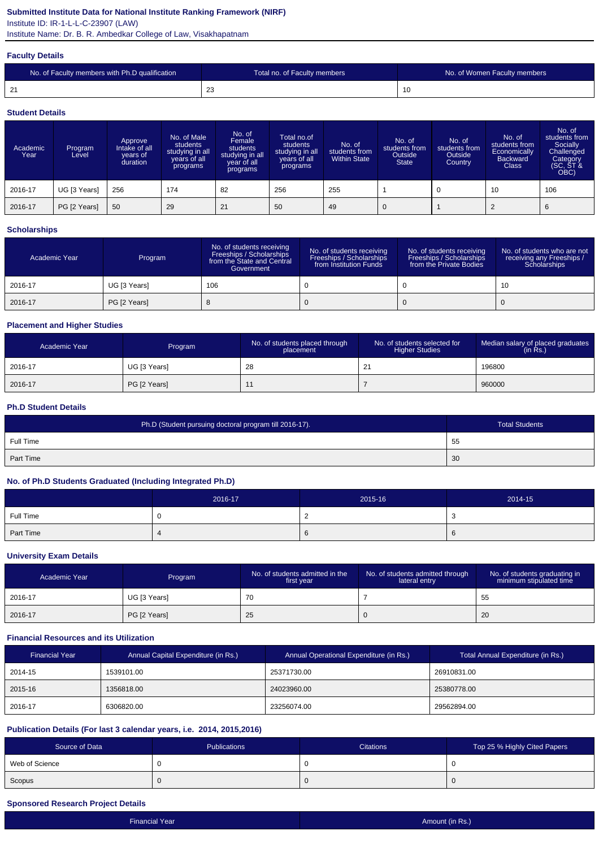# **Submitted Institute Data for National Institute Ranking Framework (NIRF)**

Institute ID: IR-1-L-L-C-23907 (LAW)

Institute Name: Dr. B. R. Ambedkar College of Law, Visakhapatnam

#### **Faculty Details**

| No. of Faculty members with Ph.D qualification | Total no. of Faculty members | No. of Women Faculty members |
|------------------------------------------------|------------------------------|------------------------------|
| $\mathbf{a}$<br>◢                              | $\sim$<br>ںے                 | 10                           |

#### **Student Details**

| Academic<br>Year | Program<br>Level | Approve<br>Intake of all<br>vears of<br>duration | No. of Male<br>students<br>studying in all<br>years of all<br>programs | No. of<br>Female<br>students<br>studying in all<br>year of all<br>programs | Total no.of<br>students<br>studying in all<br>years of all<br>programs | No. of<br>students from<br><b>Within State</b> | No. of<br>students from<br>Outside<br><b>State</b> | No. of<br>students from<br>Outside<br>Country | No. of<br>students from<br>Economically<br><b>Backward</b><br><b>Class</b> | No. of<br>students from<br>Socially<br>Challenged<br>Category<br>(SC, ST &<br>OBC) |
|------------------|------------------|--------------------------------------------------|------------------------------------------------------------------------|----------------------------------------------------------------------------|------------------------------------------------------------------------|------------------------------------------------|----------------------------------------------------|-----------------------------------------------|----------------------------------------------------------------------------|------------------------------------------------------------------------------------|
| 2016-17          | UG [3 Years]     | 256                                              | 174                                                                    | 82                                                                         | 256                                                                    | 255                                            |                                                    |                                               | 10                                                                         | 106                                                                                |
| 2016-17          | PG [2 Years]     | 50                                               | 29                                                                     | 21                                                                         | 50                                                                     | 49                                             | $\mathbf 0$                                        |                                               | $\overline{2}$                                                             | 6                                                                                  |

## **Scholarships**

| Academic Year | Program      | No. of students receiving<br>Freeships / Scholarships<br>from the State and Central<br>Government | No. of students receiving<br>Freeships / Scholarships<br>from Institution Funds | No. of students receiving<br>Freeships / Scholarships<br>from the Private Bodies | No. of students who are not<br>receiving any Freeships /<br>Scholarships |
|---------------|--------------|---------------------------------------------------------------------------------------------------|---------------------------------------------------------------------------------|----------------------------------------------------------------------------------|--------------------------------------------------------------------------|
| 2016-17       | UG [3 Years] | 106                                                                                               |                                                                                 |                                                                                  | 10                                                                       |
| 2016-17       | PG [2 Years] |                                                                                                   |                                                                                 |                                                                                  |                                                                          |

## **Placement and Higher Studies**

| Academic Year | Program      | No. of students placed through<br>placement | No. of students selected for<br><b>Higher Studies</b> | Median salary of placed graduates<br>(in Rs.) |
|---------------|--------------|---------------------------------------------|-------------------------------------------------------|-----------------------------------------------|
| 2016-17       | UG [3 Years] | -28                                         | -21<br><u>_</u>                                       | 196800                                        |
| 2016-17       | PG [2 Years] |                                             |                                                       | 960000                                        |

## **Ph.D Student Details**

| Ph.D (Student pursuing doctoral program till 2016-17). | Total Students |
|--------------------------------------------------------|----------------|
| Full Time                                              | 55             |
| <b>Part Time</b>                                       | 30             |

## **No. of Ph.D Students Graduated (Including Integrated Ph.D)**

|           | 2016-17 | 2015-16 | 2014-15 |
|-----------|---------|---------|---------|
| Full Time |         |         | ັບ      |
| Part Time |         |         | O       |

#### **University Exam Details**

| Academic Year | Program      | No. of students admitted in the<br>first year | No. of students admitted through<br>lateral entry | No. of students graduating in<br>minimum stipulated time |
|---------------|--------------|-----------------------------------------------|---------------------------------------------------|----------------------------------------------------------|
| 2016-17       | UG [3 Years] | 70                                            |                                                   | 55                                                       |
| 2016-17       | PG [2 Years] | 25                                            |                                                   | 20                                                       |

## **Financial Resources and its Utilization**

| <b>Financial Year</b> | Annual Capital Expenditure (in Rs.) | Annual Operational Expenditure (in Rs.) | Total Annual Expenditure (in Rs.) |
|-----------------------|-------------------------------------|-----------------------------------------|-----------------------------------|
| 2014-15               | 1539101.00                          | 25371730.00                             | 26910831.00                       |
| 2015-16               | 1356818.00                          | 24023960.00                             | 25380778.00                       |
| 2016-17               | 6306820.00                          | 23256074.00                             | 29562894.00                       |

## **Publication Details (For last 3 calendar years, i.e. 2014, 2015,2016)**

| Source of Data | <b>Publications</b> | <b>Citations</b> | Top 25 % Highly Cited Papers |
|----------------|---------------------|------------------|------------------------------|
| Web of Science |                     |                  |                              |
| Scopus         |                     |                  |                              |

## **Sponsored Research Project Details**

| Financial Year | Amount (in Rs.) |
|----------------|-----------------|
|                |                 |